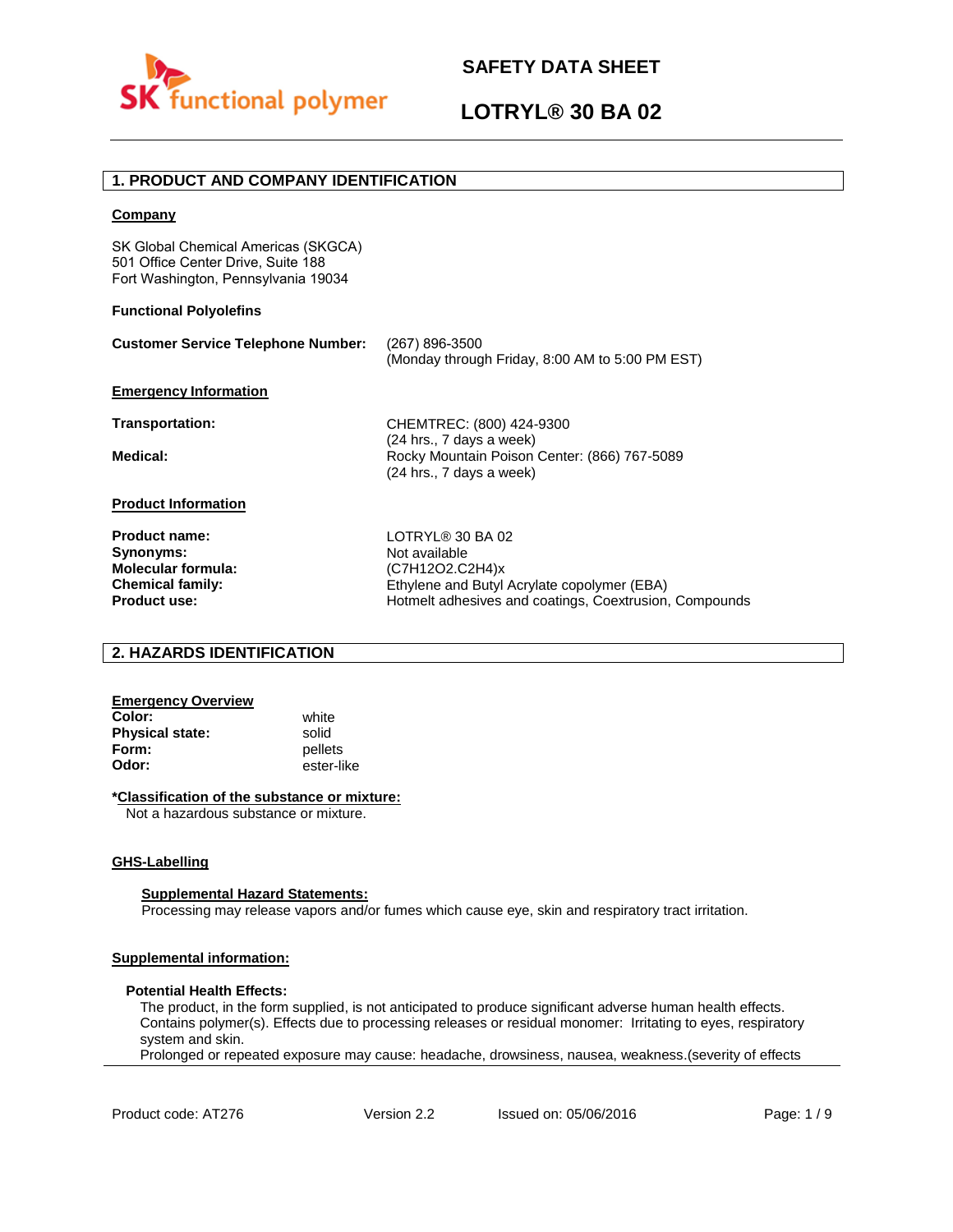

# **LOTRYL® 30 BA 02**

# **1. PRODUCT AND COMPANY IDENTIFICATION**

### **Company**

SK Global Chemical Americas (SKGCA) 501 Office Center Drive, Suite 188 Fort Washington, Pennsylvania 19034

### **Functional Polyolefins**

| <b>Customer Service Telephone Number:</b>                                                 | (267) 896-3500<br>(Monday through Friday, 8:00 AM to 5:00 PM EST)                                    |
|-------------------------------------------------------------------------------------------|------------------------------------------------------------------------------------------------------|
| <b>Emergency Information</b>                                                              |                                                                                                      |
| Transportation:                                                                           | CHEMTREC: (800) 424-9300                                                                             |
| Medical:                                                                                  | (24 hrs., 7 days a week)<br>Rocky Mountain Poison Center: (866) 767-5089<br>(24 hrs., 7 days a week) |
| <b>Product Information</b>                                                                |                                                                                                      |
| <b>Product name:</b><br>Synonyms:<br><b>Molecular formula:</b><br><b>Chemical family:</b> | LOTRYL® 30 BA 02<br>Not available<br>(C7H12O2.C2H4)x<br>Ethylene and Butyl Acrylate copolymer (EBA)  |
| <b>Product use:</b>                                                                       | Hotmelt adhesives and coatings, Coextrusion, Compounds                                               |

## **2. HAZARDS IDENTIFICATION**

# **Emergency Overview**

**Color:** white **Physical state:** solid<br> **Form:** nellet **Form:** pellets<br> **Odor:** ester-li

**Odor:** ester-like

## **\*Classification of the substance or mixture:**

Not a hazardous substance or mixture.

## **GHS-Labelling**

#### **Supplemental Hazard Statements:**

Processing may release vapors and/or fumes which cause eye, skin and respiratory tract irritation.

# **Supplemental information:**

#### **Potential Health Effects:**

The product, in the form supplied, is not anticipated to produce significant adverse human health effects. Contains polymer(s). Effects due to processing releases or residual monomer: Irritating to eyes, respiratory system and skin.

Prolonged or repeated exposure may cause: headache, drowsiness, nausea, weakness.(severity of effects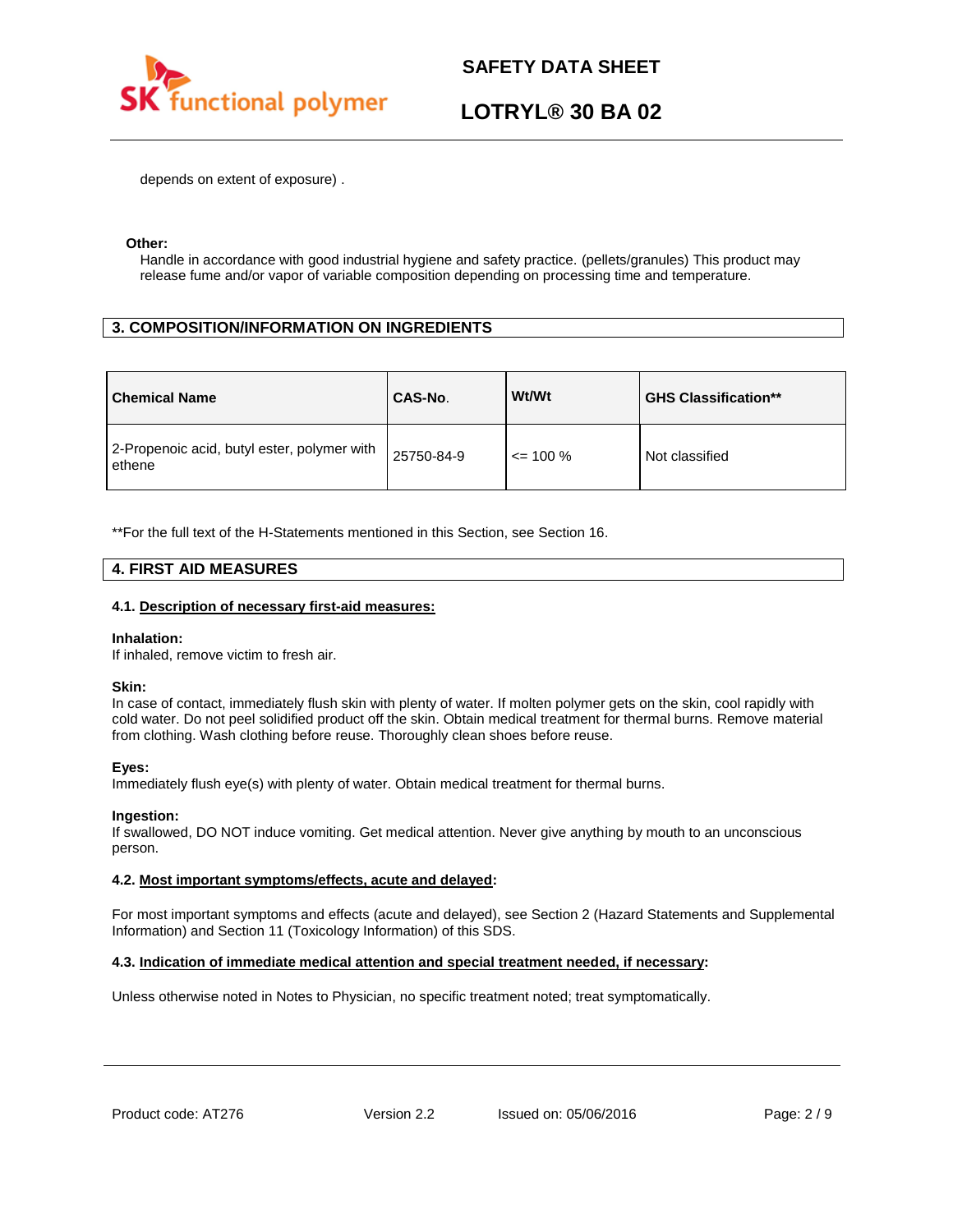

# **LOTRYL® 30 BA 02**

depends on extent of exposure) .

### **Other:**

Handle in accordance with good industrial hygiene and safety practice. (pellets/granules) This product may release fume and/or vapor of variable composition depending on processing time and temperature.

# **3. COMPOSITION/INFORMATION ON INGREDIENTS**

| <b>Chemical Name</b>                                  | CAS-No.    | Wt/Wt        | <b>GHS Classification**</b> |
|-------------------------------------------------------|------------|--------------|-----------------------------|
| 2-Propenoic acid, butyl ester, polymer with<br>ethene | 25750-84-9 | $\leq$ 100 % | Not classified              |

\*\*For the full text of the H-Statements mentioned in this Section, see Section 16.

# **4. FIRST AID MEASURES**

### **4.1. Description of necessary first-aid measures:**

#### **Inhalation:**

If inhaled, remove victim to fresh air.

#### **Skin:**

In case of contact, immediately flush skin with plenty of water. If molten polymer gets on the skin, cool rapidly with cold water. Do not peel solidified product off the skin. Obtain medical treatment for thermal burns. Remove material from clothing. Wash clothing before reuse. Thoroughly clean shoes before reuse.

## **Eyes:**

Immediately flush eye(s) with plenty of water. Obtain medical treatment for thermal burns.

## **Ingestion:**

If swallowed, DO NOT induce vomiting. Get medical attention. Never give anything by mouth to an unconscious person.

## **4.2. Most important symptoms/effects, acute and delayed:**

For most important symptoms and effects (acute and delayed), see Section 2 (Hazard Statements and Supplemental Information) and Section 11 (Toxicology Information) of this SDS.

## **4.3. Indication of immediate medical attention and special treatment needed, if necessary:**

Unless otherwise noted in Notes to Physician, no specific treatment noted; treat symptomatically.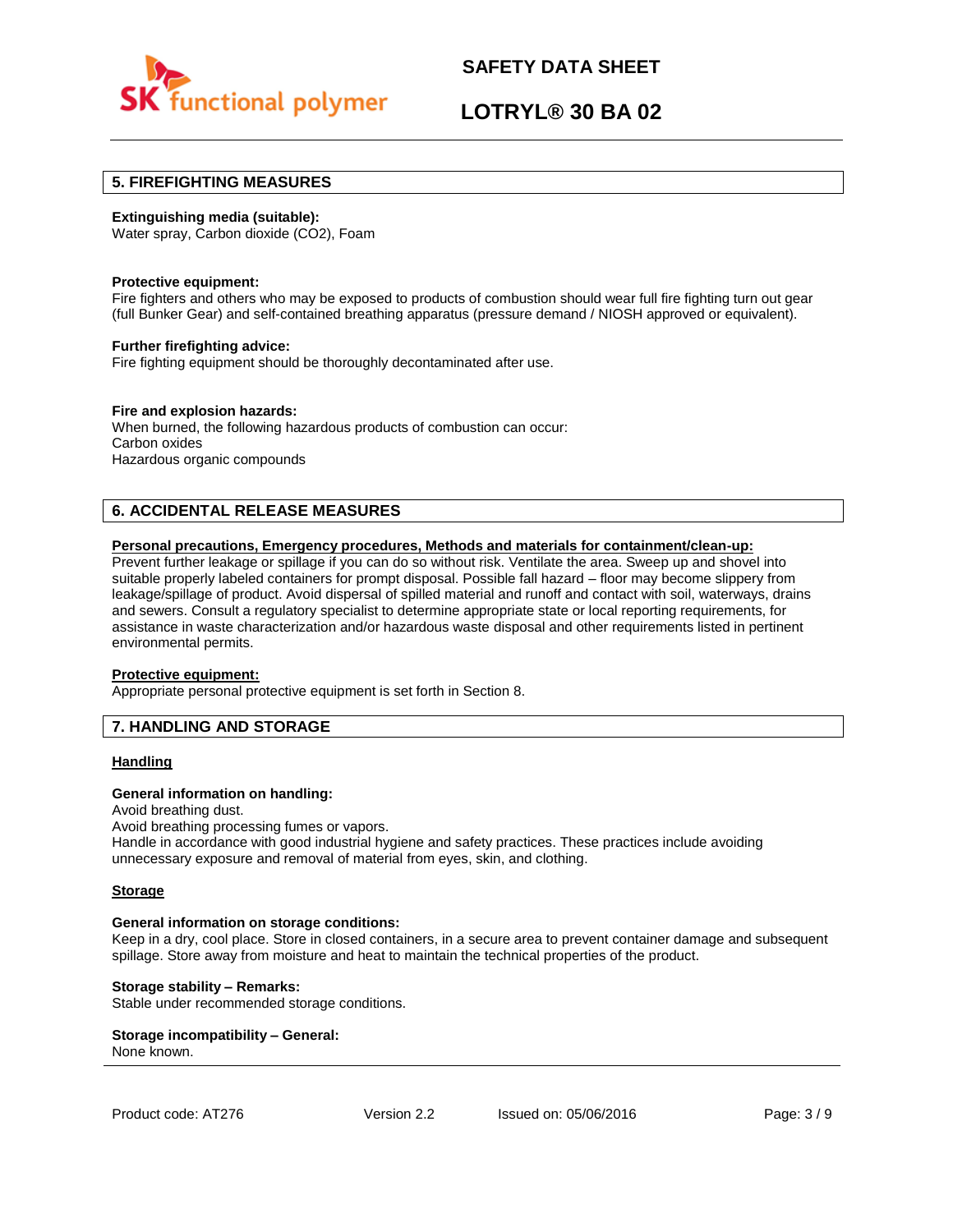

# **LOTRYL® 30 BA 02**

# **5. FIREFIGHTING MEASURES**

### **Extinguishing media (suitable):**

Water spray, Carbon dioxide (CO2), Foam

#### **Protective equipment:**

Fire fighters and others who may be exposed to products of combustion should wear full fire fighting turn out gear (full Bunker Gear) and self-contained breathing apparatus (pressure demand / NIOSH approved or equivalent).

### **Further firefighting advice:**

Fire fighting equipment should be thoroughly decontaminated after use.

## **Fire and explosion hazards:**

When burned, the following hazardous products of combustion can occur: Carbon oxides Hazardous organic compounds

# **6. ACCIDENTAL RELEASE MEASURES**

### **Personal precautions, Emergency procedures, Methods and materials for containment/clean-up:**

Prevent further leakage or spillage if you can do so without risk. Ventilate the area. Sweep up and shovel into suitable properly labeled containers for prompt disposal. Possible fall hazard – floor may become slippery from leakage/spillage of product. Avoid dispersal of spilled material and runoff and contact with soil, waterways, drains and sewers. Consult a regulatory specialist to determine appropriate state or local reporting requirements, for assistance in waste characterization and/or hazardous waste disposal and other requirements listed in pertinent environmental permits.

#### **Protective equipment:**

Appropriate personal protective equipment is set forth in Section 8.

# **7. HANDLING AND STORAGE**

## **Handling**

#### **General information on handling:**

Avoid breathing dust.

Avoid breathing processing fumes or vapors.

Handle in accordance with good industrial hygiene and safety practices. These practices include avoiding unnecessary exposure and removal of material from eyes, skin, and clothing.

#### **Storage**

#### **General information on storage conditions:**

Keep in a dry, cool place. Store in closed containers, in a secure area to prevent container damage and subsequent spillage. Store away from moisture and heat to maintain the technical properties of the product.

#### **Storage stability – Remarks:**

Stable under recommended storage conditions.

#### **Storage incompatibility – General:**  None known.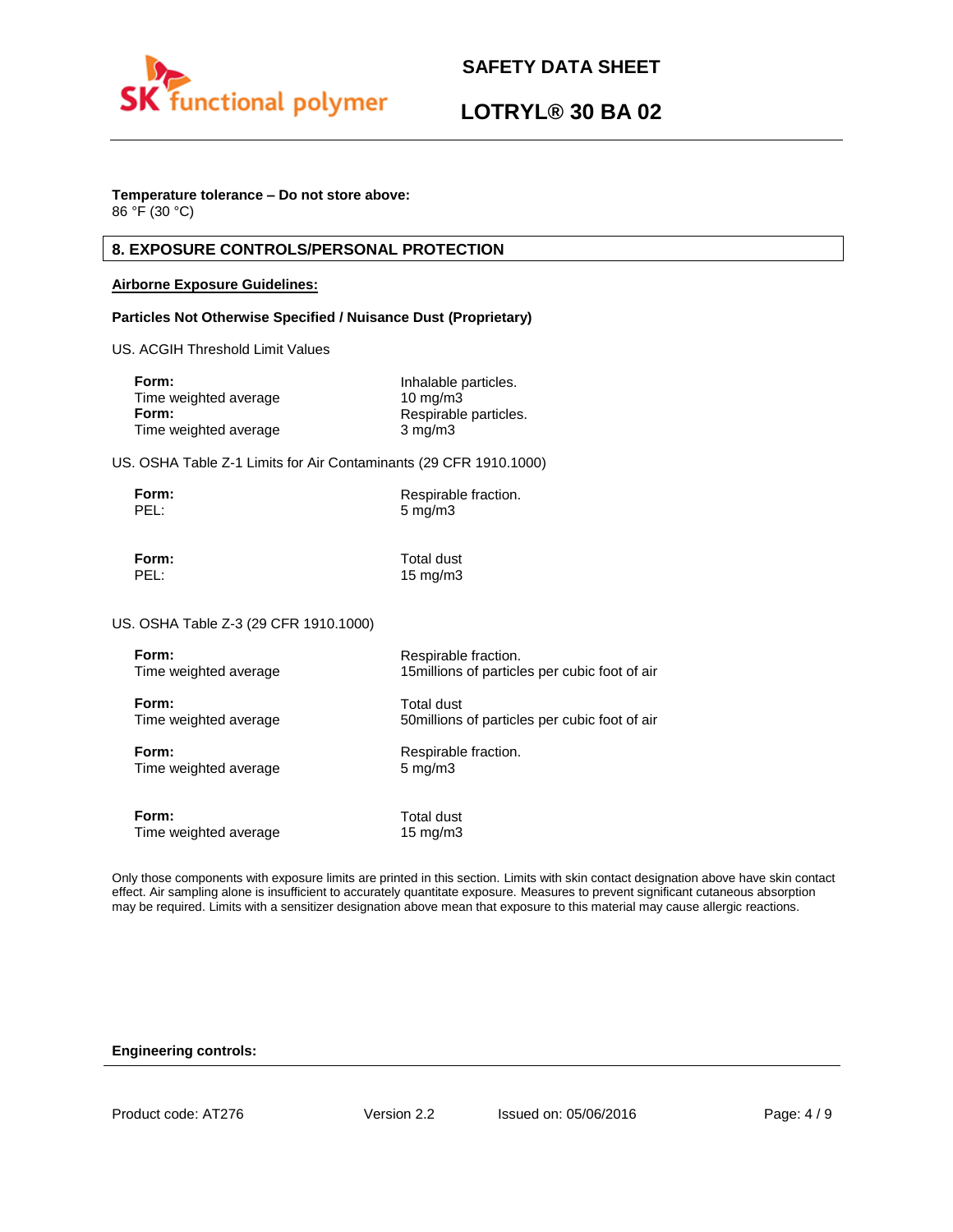

# **LOTRYL® 30 BA 02**

# **Temperature tolerance – Do not store above:**

86 °F (30 °C)

# **8. EXPOSURE CONTROLS/PERSONAL PROTECTION**

## **Airborne Exposure Guidelines:**

## **Particles Not Otherwise Specified / Nuisance Dust (Proprietary)**

US. ACGIH Threshold Limit Values

| Form:                 | Inhalable particles.  |
|-----------------------|-----------------------|
| Time weighted average | $10 \text{ ma/m}$ 3   |
| Form:                 | Respirable particles. |
| Time weighted average | $3 \text{ mg/m}$      |

US. OSHA Table Z-1 Limits for Air Contaminants (29 CFR 1910.1000)

| Form: | Respirable fraction. |
|-------|----------------------|
| PEL:  | $5 \text{ mg/m}$     |

**Form:** Total dust PEL: 15 mg/m3

US. OSHA Table Z-3 (29 CFR 1910.1000)

| Form:                 | Respirable fraction.                           |
|-----------------------|------------------------------------------------|
| Time weighted average | 15 millions of particles per cubic foot of air |
| Form:                 | Total dust                                     |
| Time weighted average | 50 millions of particles per cubic foot of air |
| Form:                 | Respirable fraction.                           |
| Time weighted average | $5 \text{ mg/m}$                               |
| Form:                 | Total dust                                     |
| Time weighted average | 15 $mg/m3$                                     |

Only those components with exposure limits are printed in this section. Limits with skin contact designation above have skin contact effect. Air sampling alone is insufficient to accurately quantitate exposure. Measures to prevent significant cutaneous absorption may be required. Limits with a sensitizer designation above mean that exposure to this material may cause allergic reactions.

## **Engineering controls:**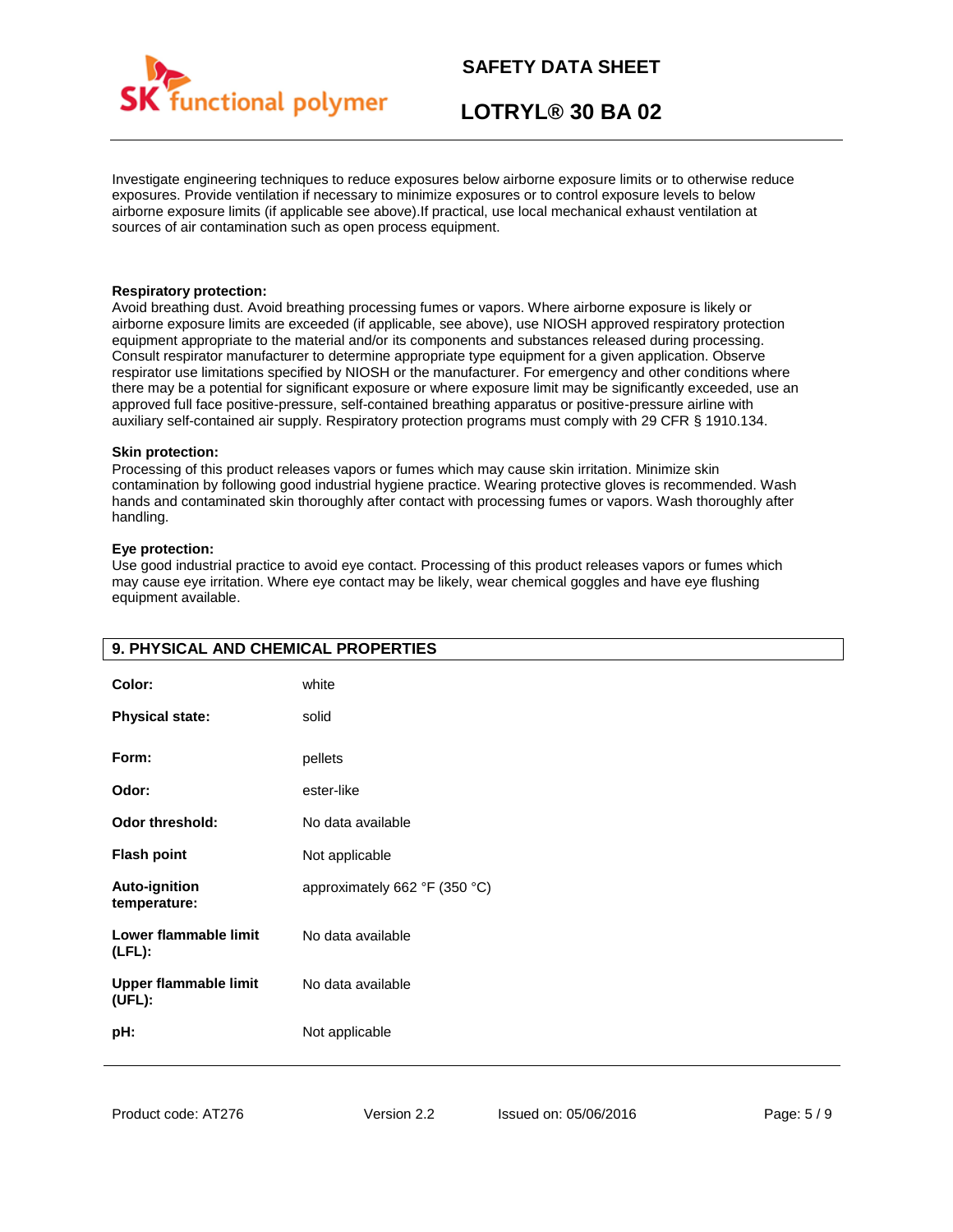

# **LOTRYL® 30 BA 02**

Investigate engineering techniques to reduce exposures below airborne exposure limits or to otherwise reduce exposures. Provide ventilation if necessary to minimize exposures or to control exposure levels to below airborne exposure limits (if applicable see above).If practical, use local mechanical exhaust ventilation at sources of air contamination such as open process equipment.

### **Respiratory protection:**

Avoid breathing dust. Avoid breathing processing fumes or vapors. Where airborne exposure is likely or airborne exposure limits are exceeded (if applicable, see above), use NIOSH approved respiratory protection equipment appropriate to the material and/or its components and substances released during processing. Consult respirator manufacturer to determine appropriate type equipment for a given application. Observe respirator use limitations specified by NIOSH or the manufacturer. For emergency and other conditions where there may be a potential for significant exposure or where exposure limit may be significantly exceeded, use an approved full face positive-pressure, self-contained breathing apparatus or positive-pressure airline with auxiliary self-contained air supply. Respiratory protection programs must comply with 29 CFR § 1910.134.

### **Skin protection:**

Processing of this product releases vapors or fumes which may cause skin irritation. Minimize skin contamination by following good industrial hygiene practice. Wearing protective gloves is recommended. Wash hands and contaminated skin thoroughly after contact with processing fumes or vapors. Wash thoroughly after handling.

### **Eye protection:**

Use good industrial practice to avoid eye contact. Processing of this product releases vapors or fumes which may cause eye irritation. Where eye contact may be likely, wear chemical goggles and have eye flushing equipment available.

| 9. PHYSICAL AND CHEMICAL PROPERTIES    |                               |
|----------------------------------------|-------------------------------|
| Color:                                 | white                         |
| <b>Physical state:</b>                 | solid                         |
| Form:                                  | pellets                       |
| Odor:                                  | ester-like                    |
| <b>Odor threshold:</b>                 | No data available             |
| <b>Flash point</b>                     | Not applicable                |
| <b>Auto-ignition</b><br>temperature:   | approximately 662 °F (350 °C) |
| Lower flammable limit<br>$(LFL)$ :     | No data available             |
| <b>Upper flammable limit</b><br>(UEL): | No data available             |
| pH:                                    | Not applicable                |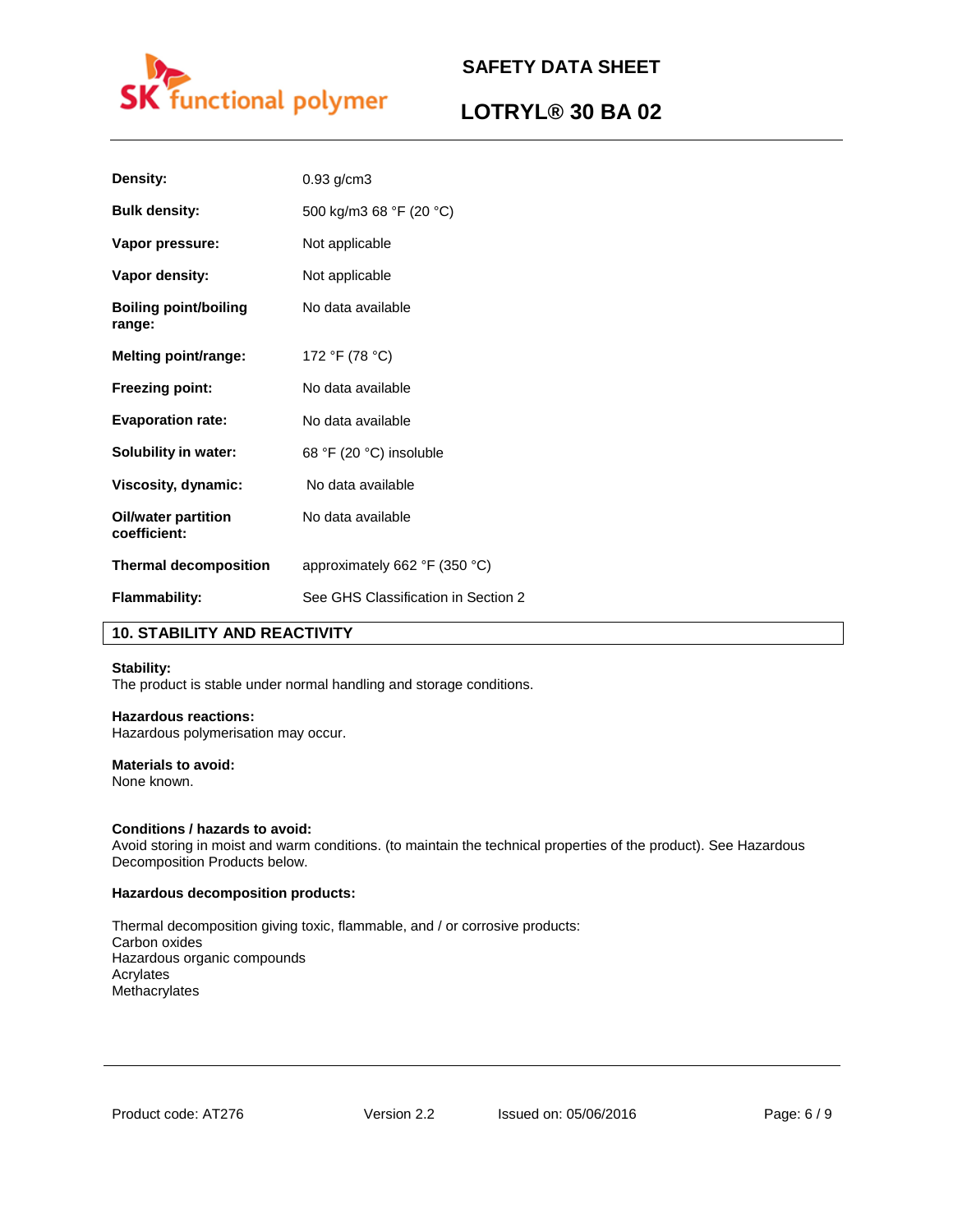

# **LOTRYL® 30 BA 02**

| Density:                               | $0.93$ g/cm $3$                                 |
|----------------------------------------|-------------------------------------------------|
| <b>Bulk density:</b>                   | 500 kg/m3 68 °F (20 °C)                         |
| Vapor pressure:                        | Not applicable                                  |
| Vapor density:                         | Not applicable                                  |
| <b>Boiling point/boiling</b><br>range: | No data available                               |
| <b>Melting point/range:</b>            | 172 °F (78 °C)                                  |
| <b>Freezing point:</b>                 | No data available                               |
| <b>Evaporation rate:</b>               | No data available                               |
| Solubility in water:                   | 68 °F (20 °C) insoluble                         |
| Viscosity, dynamic:                    | No data available                               |
| Oil/water partition<br>coefficient:    | No data available                               |
| <b>Thermal decomposition</b>           | approximately 662 $\degree$ F (350 $\degree$ C) |
| <b>Flammability:</b>                   | See GHS Classification in Section 2             |

# **10. STABILITY AND REACTIVITY**

## **Stability:**

The product is stable under normal handling and storage conditions.

# **Hazardous reactions:**

Hazardous polymerisation may occur.

# **Materials to avoid:**

None known.

## **Conditions / hazards to avoid:**

Avoid storing in moist and warm conditions. (to maintain the technical properties of the product). See Hazardous Decomposition Products below.

### **Hazardous decomposition products:**

Thermal decomposition giving toxic, flammable, and / or corrosive products: Carbon oxides Hazardous organic compounds Acrylates Methacrylates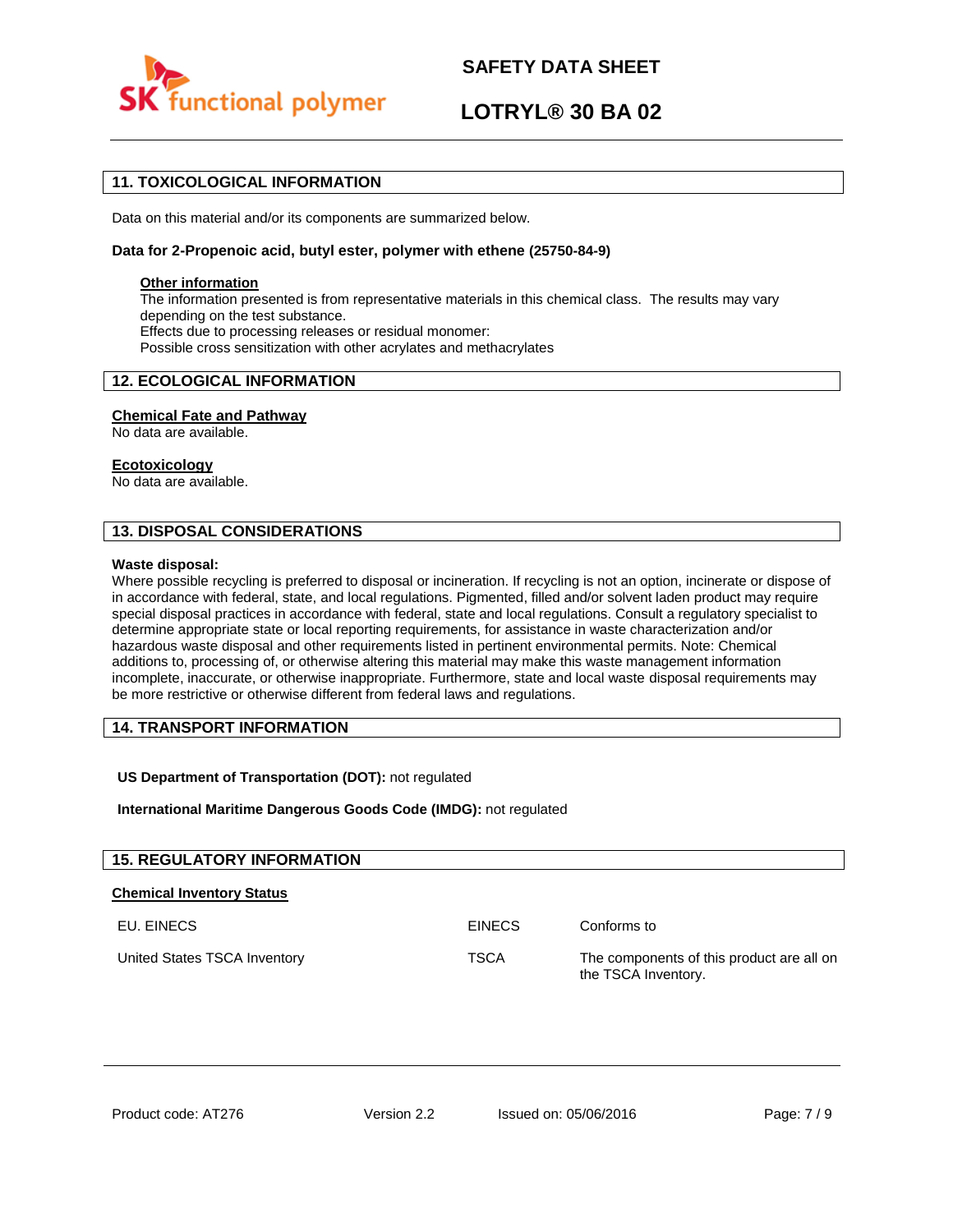

# **LOTRYL® 30 BA 02**

# **11. TOXICOLOGICAL INFORMATION**

Data on this material and/or its components are summarized below.

### **Data for 2-Propenoic acid, butyl ester, polymer with ethene (25750-84-9)**

### **Other information**

The information presented is from representative materials in this chemical class. The results may vary depending on the test substance. Effects due to processing releases or residual monomer: Possible cross sensitization with other acrylates and methacrylates

# **12. ECOLOGICAL INFORMATION**

### **Chemical Fate and Pathway**

No data are available.

### **Ecotoxicology**

No data are available.

# **13. DISPOSAL CONSIDERATIONS**

#### **Waste disposal:**

Where possible recycling is preferred to disposal or incineration. If recycling is not an option, incinerate or dispose of in accordance with federal, state, and local regulations. Pigmented, filled and/or solvent laden product may require special disposal practices in accordance with federal, state and local regulations. Consult a regulatory specialist to determine appropriate state or local reporting requirements, for assistance in waste characterization and/or hazardous waste disposal and other requirements listed in pertinent environmental permits. Note: Chemical additions to, processing of, or otherwise altering this material may make this waste management information incomplete, inaccurate, or otherwise inappropriate. Furthermore, state and local waste disposal requirements may be more restrictive or otherwise different from federal laws and regulations.

# **14. TRANSPORT INFORMATION**

# **US Department of Transportation (DOT):** not regulated

**International Maritime Dangerous Goods Code (IMDG):** not regulated

| <b>15. REGULATORY INFORMATION</b> |               |                                                                  |
|-----------------------------------|---------------|------------------------------------------------------------------|
| <b>Chemical Inventory Status</b>  |               |                                                                  |
| EU. EINECS                        | <b>EINECS</b> | Conforms to                                                      |
| United States TSCA Inventory      | <b>TSCA</b>   | The components of this product are all on<br>the TSCA Inventory. |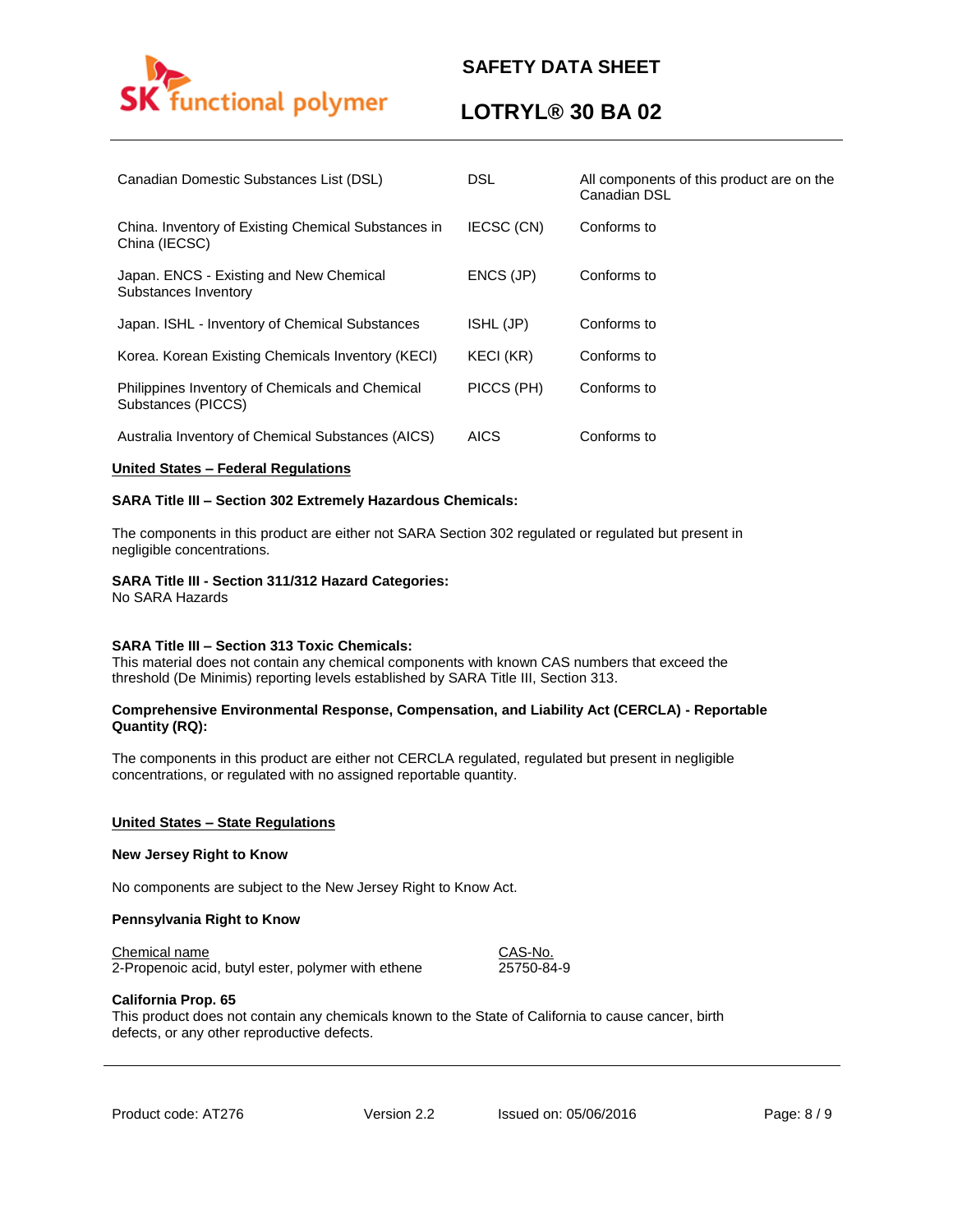

# **LOTRYL® 30 BA 02**

| Canadian Domestic Substances List (DSL)                               | <b>DSL</b>  | All components of this product are on the<br>Canadian DSL |
|-----------------------------------------------------------------------|-------------|-----------------------------------------------------------|
| China. Inventory of Existing Chemical Substances in<br>China (IECSC)  | IECSC (CN)  | Conforms to                                               |
| Japan. ENCS - Existing and New Chemical<br>Substances Inventory       | ENCS (JP)   | Conforms to                                               |
| Japan. ISHL - Inventory of Chemical Substances                        | ISHL (JP)   | Conforms to                                               |
| Korea. Korean Existing Chemicals Inventory (KECI)                     | KECI (KR)   | Conforms to                                               |
| Philippines Inventory of Chemicals and Chemical<br>Substances (PICCS) | PICCS (PH)  | Conforms to                                               |
| Australia Inventory of Chemical Substances (AICS)                     | <b>AICS</b> | Conforms to                                               |

### **United States – Federal Regulations**

### **SARA Title III – Section 302 Extremely Hazardous Chemicals:**

The components in this product are either not SARA Section 302 regulated or regulated but present in negligible concentrations.

### **SARA Title III - Section 311/312 Hazard Categories:**

No SARA Hazards

#### **SARA Title III – Section 313 Toxic Chemicals:**

This material does not contain any chemical components with known CAS numbers that exceed the threshold (De Minimis) reporting levels established by SARA Title III, Section 313.

### **Comprehensive Environmental Response, Compensation, and Liability Act (CERCLA) - Reportable Quantity (RQ):**

The components in this product are either not CERCLA regulated, regulated but present in negligible concentrations, or regulated with no assigned reportable quantity.

#### **United States – State Regulations**

#### **New Jersey Right to Know**

No components are subject to the New Jersey Right to Know Act.

#### **Pennsylvania Right to Know**

#### Chemical name CAS-No.

2-Propenoic acid, butyl ester, polymer with ethene 25750-84-9

#### **California Prop. 65**

This product does not contain any chemicals known to the State of California to cause cancer, birth defects, or any other reproductive defects.

Product code: AT276 Version 2.2 Issued on: 05/06/2016 Page: 8 / 9